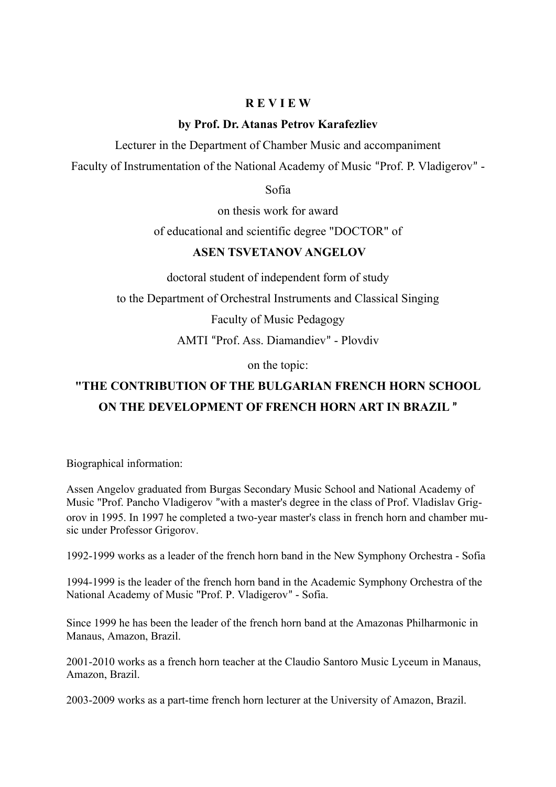## **R E V I E W**

## **by Prof. Dr. Atanas Petrov Karafezliev**

Lecturer in the Department of Chamber Music and accompaniment

Faculty of Instrumentation of the National Academy of Music "Prof. P. Vladigerov" -

Sofia

on thesis work for award

of educational and scientific degree "DOCTOR" of

## **ASEN TSVETANOV ANGELOV**

doctoral student of independent form of study

to the Department of Orchestral Instruments and Classical Singing

Faculty of Music Pedagogy

AMTI "Prof. Ass. Diamandiev" - Plovdiv

on the topic:

## **"THE CONTRIBUTION OF THE BULGARIAN FRENCH HORN SCHOOL ON THE DEVELOPMENT OF FRENCH HORN ART IN BRAZIL "**

Biographical information:

Assen Angelov graduated from Burgas Secondary Music School and National Academy of Music "Prof. Pancho Vladigerov "with a master's degree in the class of Prof. Vladislav Grigorov in 1995. In 1997 he completed a two-year master's class in french horn and chamber music under Professor Grigorov.

1992-1999 works as a leader of the french horn band in the New Symphony Orchestra - Sofia

1994-1999 is the leader of the french horn band in the Academic Symphony Orchestra of the National Academy of Music "Prof. P. Vladigerov" - Sofia.

Since 1999 he has been the leader of the french horn band at the Amazonas Philharmonic in Manaus, Amazon, Brazil.

2001-2010 works as a french horn teacher at the Claudio Santoro Music Lyceum in Manaus, Amazon, Brazil.

2003-2009 works as a part-time french horn lecturer at the University of Amazon, Brazil.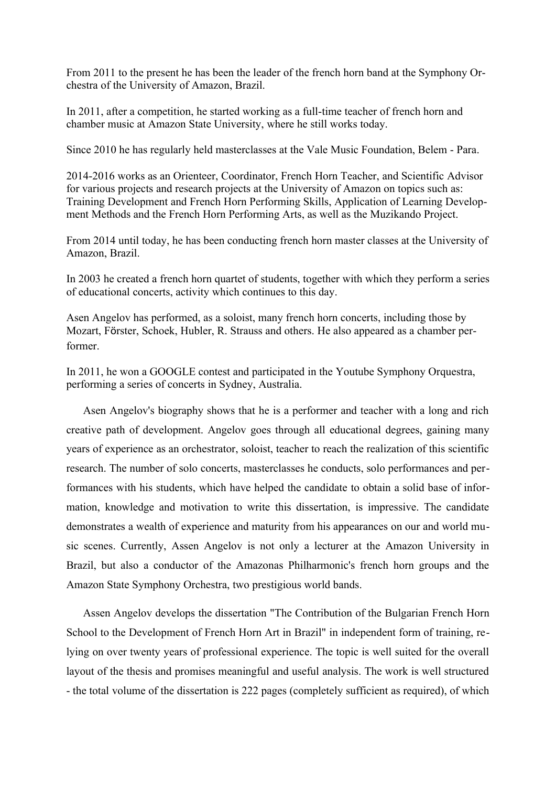From 2011 to the present he has been the leader of the french horn band at the Symphony Orchestra of the University of Amazon, Brazil.

In 2011, after a competition, he started working as a full-time teacher of french horn and chamber music at Amazon State University, where he still works today.

Since 2010 he has regularly held masterclasses at the Vale Music Foundation, Belem - Para.

2014-2016 works as an Orienteer, Coordinator, French Horn Teacher, and Scientific Advisor for various projects and research projects at the University of Amazon on topics such as: Training Development and French Horn Performing Skills, Application of Learning Development Methods and the French Horn Performing Arts, as well as the Muzikando Project.

From 2014 until today, he has been conducting french horn master classes at the University of Amazon, Brazil.

In 2003 he created a french horn quartet of students, together with which they perform a series of educational concerts, activity which continues to this day.

Asen Angelov has performed, as a soloist, many french horn concerts, including those by Mozart, Förster, Schoek, Hubler, R. Strauss and others. He also appeared as a chamber performer.

In 2011, he won a GOOGLE contest and participated in the Youtube Symphony Orquestra, performing a series of concerts in Sydney, Australia.

Asen Angelov's biography shows that he is a performer and teacher with a long and rich creative path of development. Angelov goes through all educational degrees, gaining many years of experience as an orchestrator, soloist, teacher to reach the realization of this scientific research. The number of solo concerts, masterclasses he conducts, solo performances and performances with his students, which have helped the candidate to obtain a solid base of information, knowledge and motivation to write this dissertation, is impressive. The candidate demonstrates a wealth of experience and maturity from his appearances on our and world music scenes. Currently, Assen Angelov is not only a lecturer at the Amazon University in Brazil, but also a conductor of the Amazonas Philharmonic's french horn groups and the Amazon State Symphony Orchestra, two prestigious world bands.

Assen Angelov develops the dissertation "The Contribution of the Bulgarian French Horn School to the Development of French Horn Art in Brazil" in independent form of training, relying on over twenty years of professional experience. The topic is well suited for the overall layout of the thesis and promises meaningful and useful analysis. The work is well structured - the total volume of the dissertation is 222 pages (completely sufficient as required), of which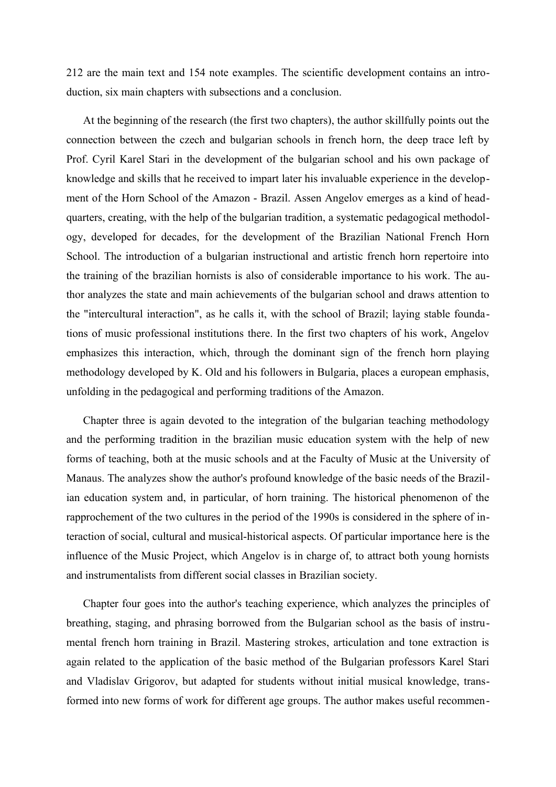212 are the main text and 154 note examples. The scientific development contains an introduction, six main chapters with subsections and a conclusion.

At the beginning of the research (the first two chapters), the author skillfully points out the connection between the czech and bulgarian schools in french horn, the deep trace left by Prof. Cyril Karel Stari in the development of the bulgarian school and his own package of knowledge and skills that he received to impart later his invaluable experience in the development of the Horn School of the Amazon - Brazil. Assen Angelov emerges as a kind of headquarters, creating, with the help of the bulgarian tradition, a systematic pedagogical methodology, developed for decades, for the development of the Brazilian National French Horn School. The introduction of a bulgarian instructional and artistic french horn repertoire into the training of the brazilian hornists is also of considerable importance to his work. The author analyzes the state and main achievements of the bulgarian school and draws attention to the "intercultural interaction", as he calls it, with the school of Brazil; laying stable foundations of music professional institutions there. In the first two chapters of his work, Angelov emphasizes this interaction, which, through the dominant sign of the french horn playing methodology developed by K. Old and his followers in Bulgaria, places a european emphasis, unfolding in the pedagogical and performing traditions of the Amazon.

Chapter three is again devoted to the integration of the bulgarian teaching methodology and the performing tradition in the brazilian music education system with the help of new forms of teaching, both at the music schools and at the Faculty of Music at the University of Manaus. The analyzes show the author's profound knowledge of the basic needs of the Brazilian education system and, in particular, of horn training. The historical phenomenon of the rapprochement of the two cultures in the period of the 1990s is considered in the sphere of interaction of social, cultural and musical-historical aspects. Of particular importance here is the influence of the Music Project, which Angelov is in charge of, to attract both young hornists and instrumentalists from different social classes in Brazilian society.

Chapter four goes into the author's teaching experience, which analyzes the principles of breathing, staging, and phrasing borrowed from the Bulgarian school as the basis of instrumental french horn training in Brazil. Mastering strokes, articulation and tone extraction is again related to the application of the basic method of the Bulgarian professors Karel Stari and Vladislav Grigorov, but adapted for students without initial musical knowledge, transformed into new forms of work for different age groups. The author makes useful recommen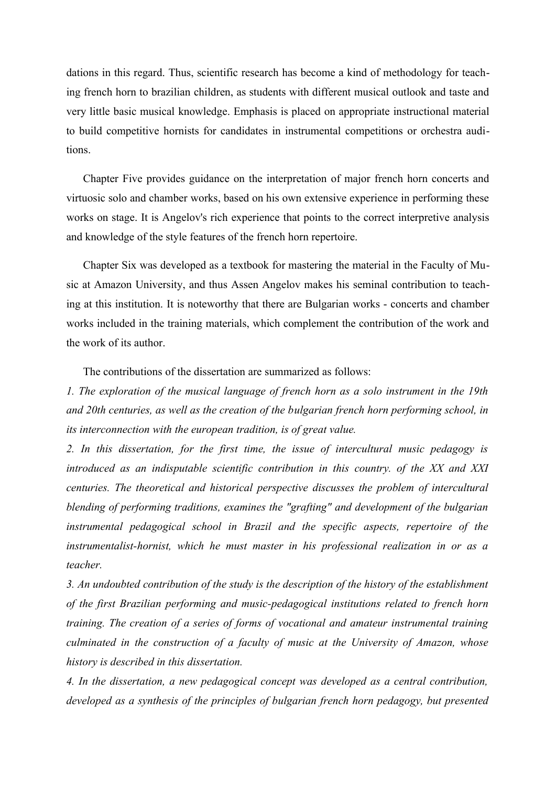dations in this regard. Thus, scientific research has become a kind of methodology for teaching french horn to brazilian children, as students with different musical outlook and taste and very little basic musical knowledge. Emphasis is placed on appropriate instructional material to build competitive hornists for candidates in instrumental competitions or orchestra auditions.

Chapter Five provides guidance on the interpretation of major french horn concerts and virtuosic solo and chamber works, based on his own extensive experience in performing these works on stage. It is Angelov's rich experience that points to the correct interpretive analysis and knowledge of the style features of the french horn repertoire.

Chapter Six was developed as a textbook for mastering the material in the Faculty of Music at Amazon University, and thus Assen Angelov makes his seminal contribution to teaching at this institution. It is noteworthy that there are Bulgarian works - concerts and chamber works included in the training materials, which complement the contribution of the work and the work of its author.

The contributions of the dissertation are summarized as follows:

*1. The exploration of the musical language of french horn as a solo instrument in the 19th and 20th centuries, as well as the creation of the bulgarian french horn performing school, in its interconnection with the european tradition, is of great value.*

*2. In this dissertation, for the first time, the issue of intercultural music pedagogy is introduced as an indisputable scientific contribution in this country. of the XX and XXI centuries. The theoretical and historical perspective discusses the problem of intercultural blending of performing traditions, examines the "grafting" and development of the bulgarian instrumental pedagogical school in Brazil and the specific aspects, repertoire of the instrumentalist-hornist, which he must master in his professional realization in or as a teacher.*

*3. An undoubted contribution of the study is the description of the history of the establishment of the first Brazilian performing and music-pedagogical institutions related to french horn training. The creation of a series of forms of vocational and amateur instrumental training culminated in the construction of a faculty of music at the University of Amazon, whose history is described in this dissertation.*

*4. In the dissertation, a new pedagogical concept was developed as a central contribution, developed as a synthesis of the principles of bulgarian french horn pedagogy, but presented*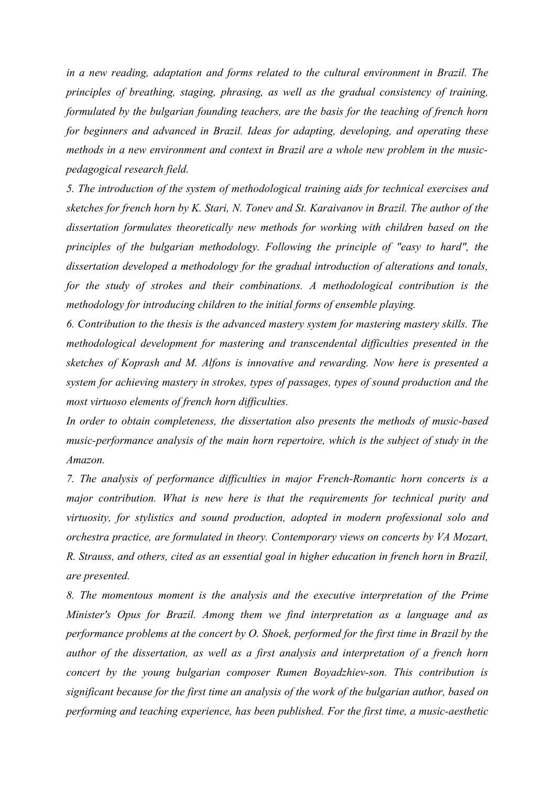*in a new reading, adaptation and forms related to the cultural environment in Brazil. The principles of breathing, staging, phrasing, as well as the gradual consistency of training, formulated by the bulgarian founding teachers, are the basis for the teaching of french horn for beginners and advanced in Brazil. Ideas for adapting, developing, and operating these methods in a new environment and context in Brazil are a whole new problem in the musicpedagogical research field.*

*5. The introduction of the system of methodological training aids for technical exercises and sketches for french horn by K. Stari, N. Tonev and St. Karaivanov in Brazil. The author of the dissertation formulates theoretically new methods for working with children based on the principles of the bulgarian methodology. Following the principle of "easy to hard", the dissertation developed a methodology for the gradual introduction of alterations and tonals, for the study of strokes and their combinations. A methodological contribution is the methodology for introducing children to the initial forms of ensemble playing.*

*6. Contribution to the thesis is the advanced mastery system for mastering mastery skills. The methodological development for mastering and transcendental difficulties presented in the sketches of Koprash and M. Alfons is innovative and rewarding. Now here is presented a system for achieving mastery in strokes, types of passages, types of sound production and the most virtuoso elements of french horn difficulties.*

*In order to obtain completeness, the dissertation also presents the methods of music-based music-performance analysis of the main horn repertoire, which is the subject of study in the Amazon.*

*7. The analysis of performance difficulties in major French-Romantic horn concerts is a major contribution. What is new here is that the requirements for technical purity and virtuosity, for stylistics and sound production, adopted in modern professional solo and orchestra practice, are formulated in theory. Contemporary views on concerts by VA Mozart, R. Strauss, and others, cited as an essential goal in higher education in french horn in Brazil, are presented.*

*8. The momentous moment is the analysis and the executive interpretation of the Prime Minister's Opus for Brazil. Among them we find interpretation as a language and as performance problems at the concert by O. Shoek, performed for the first time in Brazil by the author of the dissertation, as well as a first analysis and interpretation of a french horn concert by the young bulgarian composer Rumen Boyadzhiev-son. This contribution is significant because for the first time an analysis of the work of the bulgarian author, based on performing and teaching experience, has been published. For the first time, a music-aesthetic*